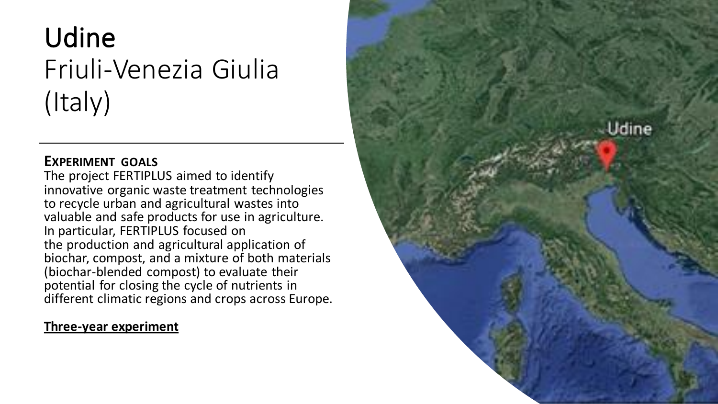# Udine Friuli-Venezia Giulia (Italy)

# **EXPERIMENT GOALS**

The project FERTIPLUS aimed to identify innovative organic waste treatment technologies to recycle urban and agricultural wastes into valuable and safe products for use in agriculture. In particular, FERTIPLUS focused on the production and agricultural application of biochar, compost, and a mixture of both materials (biochar-blended compost) to evaluate their potential for closing the cycle of nutrients in different climatic regions and crops across Europe.

# **Three-year experiment**

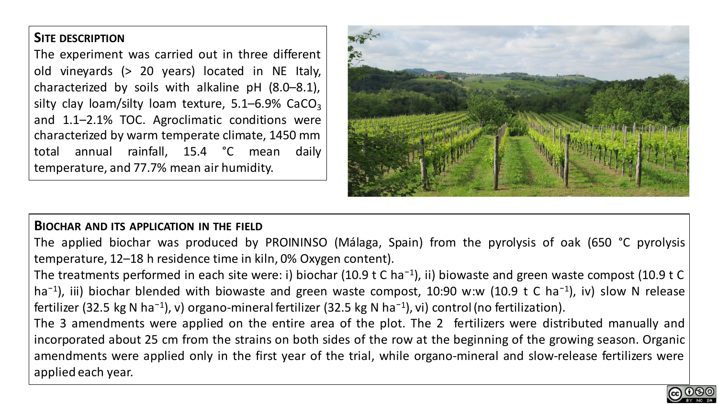## **SITE DESCRIPTION**

The experiment was carried out in three different old vineyards (> 20 years) located in NE Italy, characterized by soils with alkaline pH (8.0–8.1), silty clay loam/silty loam texture,  $5.1-6.9\%$  CaCO<sub>3</sub> and 1.1–2.1% TOC. Agroclimatic conditions were characterized by warm temperate climate, 1450 mm total annual rainfall, 15.4 °C mean daily temperature, and 77.7% mean air humidity.



#### **BIOCHAR AND ITS APPLICATION IN THE FIELD**

The applied biochar was produced by PROININSO (Málaga, Spain) from the pyrolysis of oak (650 °C pyrolysis temperature, 12–18 h residence time in kiln, 0% Oxygen content).

The treatments performed in each site were: i) biochar (10.9 t C ha<sup>-1</sup>), ii) biowaste and green waste compost (10.9 t C ha<sup>-1</sup>), iii) biochar blended with biowaste and green waste compost, 10:90 w:w (10.9 t C ha<sup>-1</sup>), iv) slow N release fertilizer (32.5 kg N ha<sup>-1</sup>), v) organo-mineral fertilizer (32.5 kg N ha<sup>-1</sup>), vi) control (no fertilization).

The 3 amendments were applied on the entire area of the plot. The 2 fertilizers were distributed manually and incorporated about 25 cm from the strains on both sides of the row at the beginning of the growing season. Organic amendments were applied only in the first year of the trial, while organo-mineral and slow-release fertilizers were applied each year.

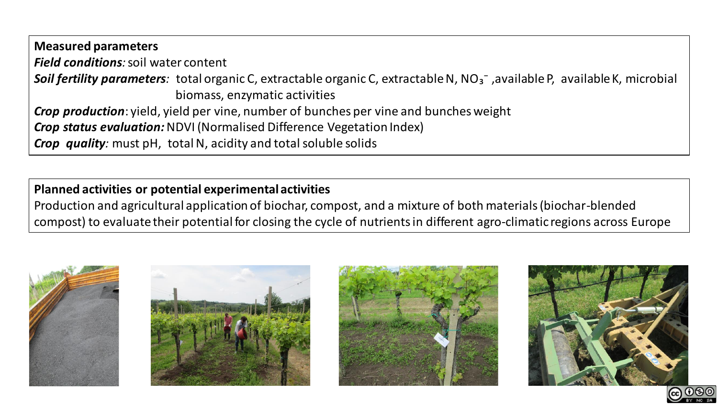**Measured parameters** *Field conditions:* soil water content **Soil fertility parameters**: total organic C, extractable organic C, extractable N, NO<sub>3</sub><sup>-</sup>, available P, available K, microbial biomass, enzymatic activities *Crop production*: yield, yield per vine, number of bunches per vine and bunches weight *Crop status evaluation:* NDVI (Normalised Difference Vegetation Index) *Crop quality:* must pH, total N, acidity and total soluble solids

**Planned activities or potential experimental activities** Production and agricultural application of biochar, compost, and a mixture of both materials (biochar-blended compost) to evaluate their potential for closing the cycle of nutrients in different agro-climatic regions across Europe